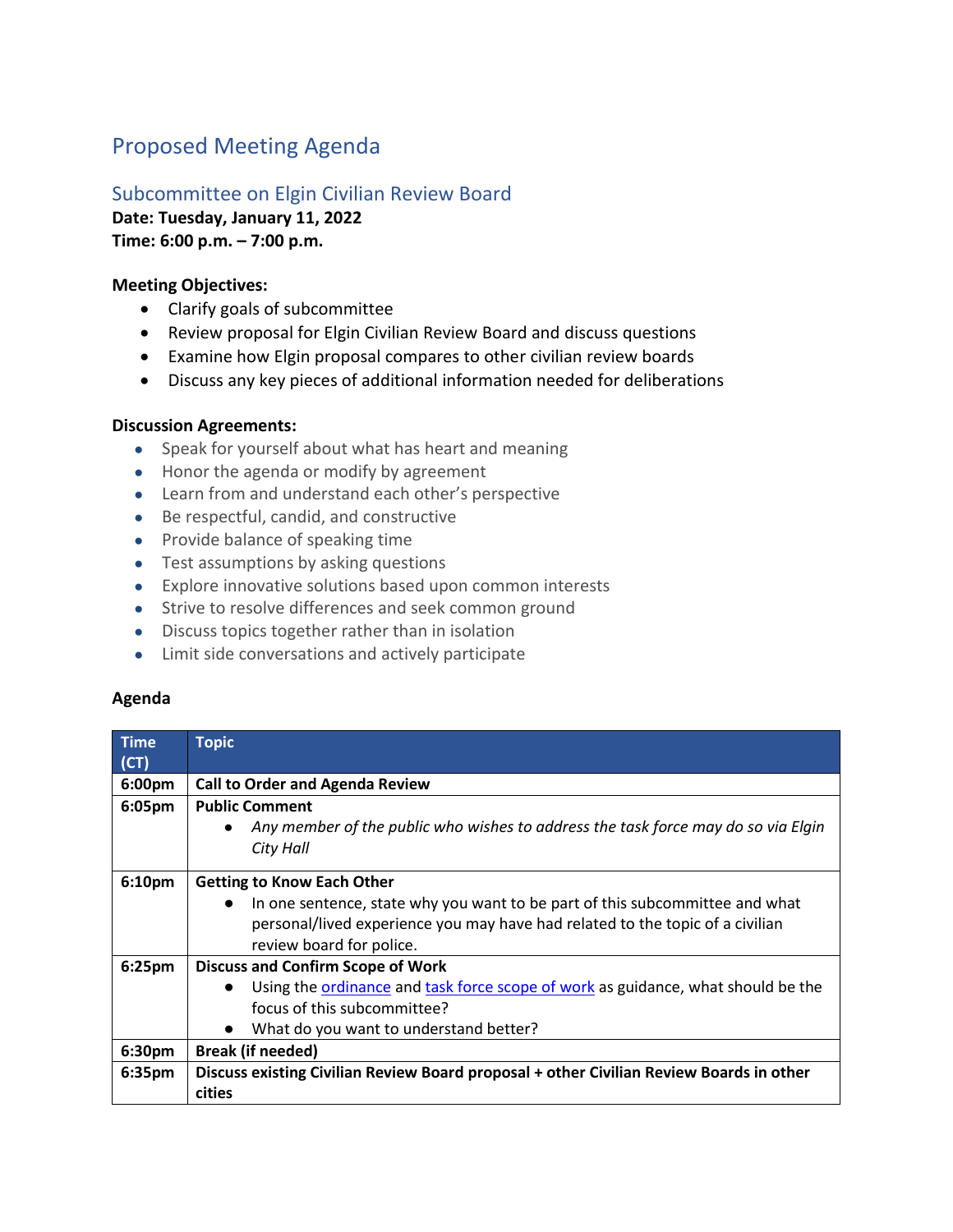# Proposed Meeting Agenda

# Subcommittee on Elgin Civilian Review Board **Date: Tuesday, January 11, 2022**

**Time: 6:00 p.m. – 7:00 p.m.** 

### **Meeting Objectives:**

- Clarify goals of subcommittee
- Review proposal for Elgin Civilian Review Board and discuss questions
- Examine how Elgin proposal compares to other civilian review boards
- Discuss any key pieces of additional information needed for deliberations

### **Discussion Agreements:**

- Speak for yourself about what has heart and meaning
- Honor the agenda or modify by agreement
- Learn from and understand each other's perspective
- Be respectful, candid, and constructive
- Provide balance of speaking time
- Test assumptions by asking questions
- Explore innovative solutions based upon common interests
- Strive to resolve differences and seek common ground
- Discuss topics together rather than in isolation
- Limit side conversations and actively participate

#### **Agenda**

| $\_Time$           | <b>Topic</b>                                                                                   |
|--------------------|------------------------------------------------------------------------------------------------|
|                    |                                                                                                |
| (CT)               |                                                                                                |
| 6:00pm             | <b>Call to Order and Agenda Review</b>                                                         |
| 6:05pm             | <b>Public Comment</b>                                                                          |
|                    | Any member of the public who wishes to address the task force may do so via Elgin<br>$\bullet$ |
|                    | City Hall                                                                                      |
| 6:10 <sub>pm</sub> | <b>Getting to Know Each Other</b>                                                              |
|                    | In one sentence, state why you want to be part of this subcommittee and what<br>$\bullet$      |
|                    | personal/lived experience you may have had related to the topic of a civilian                  |
|                    | review board for police.                                                                       |
| 6:25 <sub>pm</sub> | <b>Discuss and Confirm Scope of Work</b>                                                       |
|                    | Using the ordinance and task force scope of work as guidance, what should be the               |
|                    | focus of this subcommittee?                                                                    |
|                    | What do you want to understand better?                                                         |
| 6:30pm             | <b>Break (if needed)</b>                                                                       |
| 6:35 <sub>pm</sub> | Discuss existing Civilian Review Board proposal + other Civilian Review Boards in other        |
|                    | cities                                                                                         |